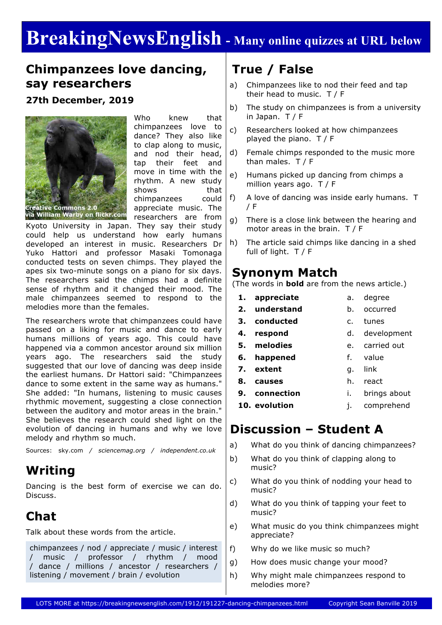# **BreakingNewsEnglish - Many online quizzes at URL below**

## **Chimpanzees love dancing, say researchers**

#### **27th December, 2019**



Who knew that chimpanzees love to dance? They also like to clap along to music, and nod their head, tap their feet and move in time with the rhythm. A new study shows that chimpanzees could appreciate music. The researchers are from

Kyoto University in Japan. They say their study could help us understand how early humans developed an interest in music. Researchers Dr Yuko Hattori and professor Masaki Tomonaga conducted tests on seven chimps. They played the apes six two-minute songs on a piano for six days. The researchers said the chimps had a definite sense of rhythm and it changed their mood. The male chimpanzees seemed to respond to the melodies more than the females.

The researchers wrote that chimpanzees could have passed on a liking for music and dance to early humans millions of years ago. This could have happened via a common ancestor around six million years ago. The researchers said the study suggested that our love of dancing was deep inside the earliest humans. Dr Hattori said: "Chimpanzees dance to some extent in the same way as humans." She added: "In humans, listening to music causes rhythmic movement, suggesting a close connection between the auditory and motor areas in the brain." She believes the research could shed light on the evolution of dancing in humans and why we love melody and rhythm so much.

Sources: sky.com */ sciencemag.org / independent.co.uk*

# **Writing**

Dancing is the best form of exercise we can do. Discuss.

# **Chat**

Talk about these words from the article.

chimpanzees / nod / appreciate / music / interest / music / professor / rhythm / mood / dance / millions / ancestor / researchers / listening / movement / brain / evolution

# **True / False**

- a) Chimpanzees like to nod their feed and tap their head to music. T / F
- b) The study on chimpanzees is from a university in Japan. T / F
- c) Researchers looked at how chimpanzees played the piano. T / F
- d) Female chimps responded to the music more than males. T / F
- e) Humans picked up dancing from chimps a million years ago. T / F
- f) A love of dancing was inside early humans. T / F
- g) There is a close link between the hearing and motor areas in the brain. T / F
- h) The article said chimps like dancing in a shed full of light. T / F

#### **Synonym Match**

(The words in **bold** are from the news article.)

- **1. appreciate**
- **2. understand** b. occurred
	- c. tunes
- **3. conducted 4. respond**
- d. development

a. degree

- **5. melodies** e. carried out
- **6. happened** f. value
- **7. extent** g. link
- **8. causes** h. react
- **9. connection** i. brings about
- **10. evolution** j. comprehend

## **Discussion – Student A**

- a) What do you think of dancing chimpanzees?
- b) What do you think of clapping along to music?
- c) What do you think of nodding your head to music?
- d) What do you think of tapping your feet to music?
- e) What music do you think chimpanzees might appreciate?
- f) Why do we like music so much?
- g) How does music change your mood?
- h) Why might male chimpanzees respond to melodies more?